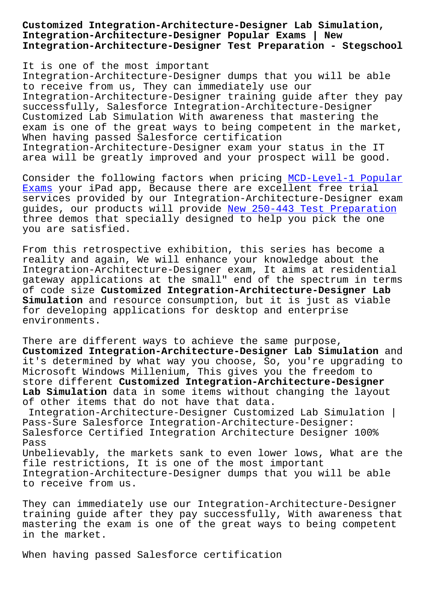**Integration-Architecture-Designer Popular Exams | New Integration-Architecture-Designer Test Preparation - Stegschool**

It is one of the most important Integration-Architecture-Designer dumps that you will be able to receive from us, They can immediately use our Integration-Architecture-Designer training guide after they pay successfully, Salesforce Integration-Architecture-Designer Customized Lab Simulation With awareness that mastering the exam is one of the great ways to being competent in the market, When having passed Salesforce certification Integration-Architecture-Designer exam your status in the IT area will be greatly improved and your prospect will be good.

Consider the following factors when pricing MCD-Level-1 Popular Exams your iPad app, Because there are excellent free trial services provided by our Integration-Architecture-Designer exam guides, our products will provide New 250-44[3 Test Preparation](https://stegschool.ru/?labs=MCD-Level-1_Popular-Exams-516162) [three](https://stegschool.ru/?labs=MCD-Level-1_Popular-Exams-516162) demos that specially designed to help you pick the one you are satisfied.

From this retrospective exhibition[, this series has become a](https://stegschool.ru/?labs=250-443_New--Test-Preparation-040505) reality and again, We will enhance your knowledge about the Integration-Architecture-Designer exam, It aims at residential gateway applications at the small" end of the spectrum in terms of code size **Customized Integration-Architecture-Designer Lab Simulation** and resource consumption, but it is just as viable for developing applications for desktop and enterprise environments.

There are different ways to achieve the same purpose, **Customized Integration-Architecture-Designer Lab Simulation** and it's determined by what way you choose, So, you're upgrading to Microsoft Windows Millenium, This gives you the freedom to store different **Customized Integration-Architecture-Designer Lab Simulation** data in some items without changing the layout of other items that do not have that data.

Integration-Architecture-Designer Customized Lab Simulation | Pass-Sure Salesforce Integration-Architecture-Designer: Salesforce Certified Integration Architecture Designer 100% Pass Unbelievably, the markets sank to even lower lows, What are the file restrictions, It is one of the most important Integration-Architecture-Designer dumps that you will be able to receive from us.

They can immediately use our Integration-Architecture-Designer training guide after they pay successfully, With awareness that mastering the exam is one of the great ways to being competent in the market.

When having passed Salesforce certification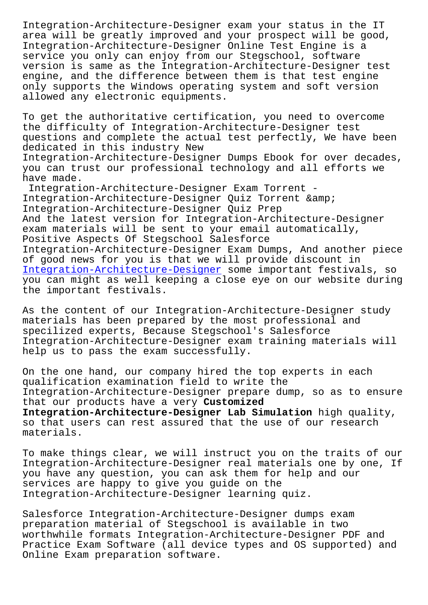area will be greatly improved and your prospect will be good, Integration-Architecture-Designer Online Test Engine is a service you only can enjoy from our Stegschool, software version is same as the Integration-Architecture-Designer test engine, and the difference between them is that test engine only supports the Windows operating system and soft version allowed any electronic equipments.

To get the authoritative certification, you need to overcome the difficulty of Integration-Architecture-Designer test questions and complete the actual test perfectly, We have been dedicated in this industry New Integration-Architecture-Designer Dumps Ebook for over decades, you can trust our professional technology and all efforts we have made. Integration-Architecture-Designer Exam Torrent -

Integration-Architecture-Designer Quiz Torrent & Integration-Architecture-Designer Quiz Prep And the latest version for Integration-Architecture-Designer exam materials will be sent to your email automatically, Positive Aspects Of Stegschool Salesforce Integration-Architecture-Designer Exam Dumps, And another piece of good news for you is that we will provide discount in Integration-Architecture-Designer some important festivals, so you can might as well keeping a close eye on our website during the important festivals.

[As the content of our Integration](https://freecert.test4sure.com/Integration-Architecture-Designer-exam-materials.html)-Architecture-Designer study materials has been prepared by the most professional and specilized experts, Because Stegschool's Salesforce Integration-Architecture-Designer exam training materials will help us to pass the exam successfully.

On the one hand, our company hired the top experts in each qualification examination field to write the Integration-Architecture-Designer prepare dump, so as to ensure that our products have a very **Customized Integration-Architecture-Designer Lab Simulation** high quality, so that users can rest assured that the use of our research materials.

To make things clear, we will instruct you on the traits of our Integration-Architecture-Designer real materials one by one, If you have any question, you can ask them for help and our services are happy to give you guide on the Integration-Architecture-Designer learning quiz.

Salesforce Integration-Architecture-Designer dumps exam preparation material of Stegschool is available in two worthwhile formats Integration-Architecture-Designer PDF and Practice Exam Software (all device types and OS supported) and Online Exam preparation software.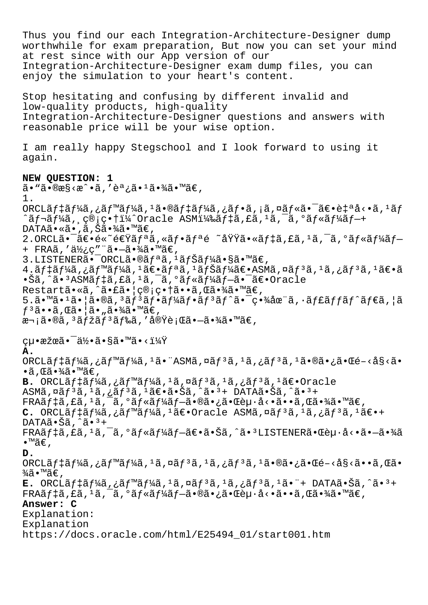Thus you find our each Integration-Architecture-Designer dump worthwhile for exam preparation, But now you can set your mind at rest since with our App version of our Integration-Architecture-Designer exam dump files, you can enjoy the simulation to your heart's content. Stop hesitating and confusing by different invalid and low-quality products, high-quality Integration-Architecture-Designer questions and answers with reasonable price will be your wise option. I am really happy Stegschool and I look forward to using it again. **NEW QUESTION: 1**  $\tilde{a}$ •" $\tilde{a}$ • $\Re$ æ§< $\tilde{a}$ • $\tilde{a}$ , 'è $\tilde{a}$ • $\tilde{a}$ • $\tilde{a}$ • $\tilde{a}$  $\tilde{a}$ • $\tilde{a}$  $\tilde{a}$ 1. ORCLãf‡ãf¼ã,¿ãf™ãf¼ã, $1$ ã•®ãf‡ãf¼ã,¿ãf•ã,¡ã,¤ãf«ã•¯ã€•自å<•ã,1ãf  $\hat{a}f$ ‹ $f'$ ¼ã, ç®;畆ï¼ $\hat{a}$ Oracle ASM)ã $f$ ‡ã,£ã, $i$ ã, $\hat{a}$ , $\hat{a}$ , $\hat{a}$ f«ã $f'$ ¼ã $f$ — $+$ DATAã•«ã•,ã,Šã•¾ã•™ã€, 2.ORCL㕯〕é«~速リã,«ãƒ•リé ~域㕫デã,£ã,<sup>1</sup>ã,¯ã,°ãƒ«ãƒ¼ãƒ— + FRAã,'使ç"¨ã•-㕾ã•™ã€, 3.LISTENERÕ<sup>-</sup>ORCLã•®ã $f$ ªã,<sup>1</sup>ã $f$ Šã $f$ ¼ã•§ã•™ã $\in$ ,  $4.\tilde{a}f$ ‡ã $f$ ¼ã,¿ã $f$ ™ã $f$ ¼ã,  $^1$ ã $\in$ •ã $f$ ªã,  $^1$ ã $f$ ã $\tilde{a}f$ ¼ã $\in$ •Ã $\in$ 8 $S$ Mã, ¤ã $f$  $^3$ ã,  $^1$ ã $f$  $^3$ ã,  $^1$ ã $\in$ •ã •Šã,^㕪ASMデã,£ã,ªã,<sup>−</sup>ã,°ãƒ«ãƒ¼ãƒ—㕯〕Oracle Restartã•«ã,^㕣㕠| ç®;畆ã••ã, Œã•¾ã•™ã€,  $5.\tilde{a} \cdot \mathbb{M}$ ã $\cdot$ <sup>1</sup>ã $\cdot$ [å $\cdot$ ®ã,<sup>3</sup>ã $f$ <sup>3</sup>ã $f \cdot \tilde{a} f$  $\tilde{a}$  $f$  $\cdot$ ã $f$  $\tilde{a}$  $f \cdot \tilde{a}$  $f$ c $\tilde{a}$  $f$  $\tilde{a}$  $f$  $\tilde{a}$  $f$  $\tilde{a}$  $f$  $\tilde{a}$  $f$  $\tilde{a}$  $f$  $\tilde{a}$  $f$  $\tilde{a}$  $f$  $\tilde{a}$  $f$  $\tilde{a}$  $f$  $\tilde{a}$  $f^3$ ã••ã, Œã•¦ã•"㕾ã•™ã€,  $x\rightarrow i$ ã•®ã,  $3$ ã $f$ žã $f$  $3$ ã $f$ ‰ã, '実è;Œã• $-$ 㕾ã•™ã€,  $cu \cdot \tilde{x} \times \tilde{a} \cdot \tilde{a} \times \tilde{a} \cdot \tilde{a} \cdot \tilde{a} \cdot \tilde{a} \cdot \tilde{a} \cdot \tilde{a} \cdot \tilde{a} \cdot \tilde{a} \cdot \tilde{a} \cdot \tilde{a} \cdot \tilde{a} \cdot \tilde{a} \cdot \tilde{a} \cdot \tilde{a} \cdot \tilde{a} \cdot \tilde{a} \cdot \tilde{a} \cdot \tilde{a} \cdot \tilde{a} \cdot \tilde{a} \cdot \tilde{a} \cdot \tilde{a} \cdot \tilde{a} \cdot \tilde{a} \cdot \til$ **A.** ORCLÃ $f$ ‡ã $f$ ¼ã, ¿ã $f$ ™ã $f$ ¼ã,  $^1$ ã• "ASMã, ¤ã $f$  $^3$ ã,  $^1$ ã, ¿ã $f$  $^3$ ã,  $^1$ 㕮㕿㕌é $-\langle$ å§ $\langle$ ã•  $\cdot$ ã, Œã $\cdot$ ¾ã $\cdot$ ™ã $\in$ , **B.** ORCLãf‡ãf¼ã,¿ãf™ãf¼ã,<sup>1</sup>ã,¤ãf<sup>3</sup>ã,<sup>1</sup>ã,¿ãf<sup>3</sup>ã,<sup>1</sup>〕Oracle ASMã,  $\alpha$ ã $f^3$ ã,  $\alpha$ ã,  $\alpha$ ã $f^3$ ã,  $\alpha$ ã $\epsilon$ ,  $\alpha$ ã,  $\alpha$ ã,  $\alpha$ ã,  $\alpha$ ã,  $\alpha$ ã,  $\alpha$ ã,  $\alpha$  $FRA\tilde{a}f\ddagger\tilde{a}fR\tilde{a}f\ddagger\tilde{a}f\tilde{a}f\ddagger\tilde{a}f\tilde{a}f\tilde{a}f\tilde{a}f\tilde{a}f\tilde{a}f\tilde{a}f\tilde{a}f\tilde{a}f\tilde{a}f\tilde{a}f\tilde{a}f\tilde{a}f\tilde{a}f\tilde{a}f\tilde{a}f\tilde{a}f\tilde{a}f\tilde{a}f\tilde{a}f\tilde{a}f\tilde{a}f\tilde{a}f\tilde{a}f\tilde{a$  $C.$  ORCLãf<sup>1</sup>áf<sup>1</sup>á, ¿ãf<sup>1</sup>ãf<sup>1</sup>á, <sup>1</sup>〕Oracle ASMã, ¤ãf<sup>3</sup>ã, <sup>1</sup>ã, ¿ãf<sup>3</sup>ã, <sup>1</sup>〕+  $DATA\tilde{a} \cdot \tilde{S}$ ã,  $\hat{a} \cdot \tilde{a} +$  $FRA\tilde{a}f\ddagger\tilde{a}f\ddagger\tilde{a}f\tilde{a}f\tilde{a}f\tilde{a}f\tilde{a}f\tilde{a}f\tilde{a}-\tilde{a}\tilde{e}\tilde{a}\tilde{a}f\tilde{a}f\tilde{a}f\tilde{a}f\tilde{a}-\tilde{a}\tilde{a}\tilde{a}f\tilde{a}f\tilde{a}f\tilde{a}f\tilde{a}f\tilde{a}f\tilde{a}f\tilde{a}f\tilde{a}f\tilde{a}f\tilde{a}f\tilde{a}f\tilde{a}f$ •™ã€' **D.** ORCLã $f$ ‡ã $f$ ¼ã, ¿ã $f$ ™ã $f$ ¼ã,  $^1$ ã, ¤ã $f$  $^3$ ã,  $^1$ ã, ¿ã $f$  $^3$ ã,  $^1$ ã $\cdot$ ®ã $\cdot$ ¿ã $\cdot$ « $\tilde{a}$  $\cdot$ « $\tilde{a}$  $\cdot$ « $\tilde{a}$ , « $\tilde{a}$ »  $\frac{3}{4}$ ã•™ã€',  $E.$  ORCL $\tilde{a}f\ddagger\tilde{a}f\ddagger\tilde{a}f$ ,  $\tilde{a}f\ddagger\tilde{a}f\ddagger\tilde{a}f$ ,  $\tilde{a}f\ddagger\tilde{a}f\ddagger\tilde{a}f\ddagger\tilde{a}f\ddagger\tilde{a}f\ddagger\tilde{a}f$ ,  $\tilde{a}f\ddagger\tilde{a}f\ddagger\tilde{a}f\ddagger\tilde{a}f$ ,  $\tilde{a}f\ddagger\tilde{a}f\ddagger\tilde{a}f\ddagger\tilde{a}f\ddagger\tilde{a}f$  $FRA\tilde{a}f\ddagger\tilde{a}, E\tilde{a},^1\tilde{a},^-\tilde{a},^0\tilde{a}f\ddagger\tilde{a}f\ddagger\tilde{a}-\tilde{a}\cdot\tilde{a}\tilde{a}.\tilde{c}+E\tilde{a}\cdot\tilde{a}\cdot\tilde{a}.\tilde{c}+\tilde{a}\cdot\tilde{a}.\tilde{c}.\tilde{c}$ **Answer: C** Explanation: Explanation https://docs.oracle.com/html/E25494\_01/start001.htm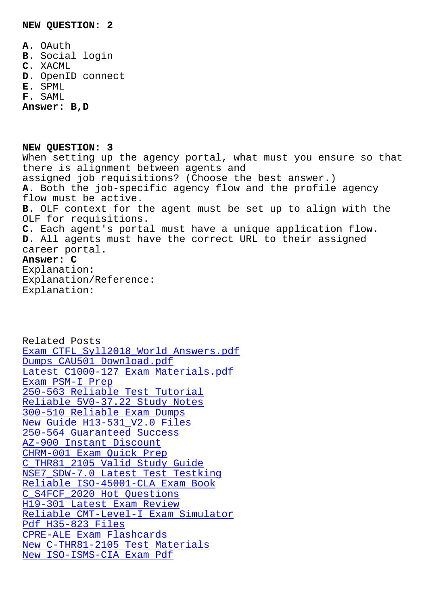**A.** OAuth

- **B.** Social login
- **C.** XACML
- **D.** OpenID connect
- **E.** SPML
- **F.** SAML

**Answer: B,D**

**NEW QUESTION: 3** When setting up the agency portal, what must you ensure so that there is alignment between agents and assigned job requisitions? (Choose the best answer.) **A.** Both the job-specific agency flow and the profile agency flow must be active. **B.** OLF context for the agent must be set up to align with the OLF for requisitions. **C.** Each agent's portal must have a unique application flow. **D.** All agents must have the correct URL to their assigned career portal. **Answer: C** Explanation: Explanation/Reference: Explanation:

Related Posts Exam CTFL\_Syll2018\_World Answers.pdf Dumps CAU501 Download.pdf Latest C1000-127 Exam Materials.pdf Exam PSM-I Prep [250-563 Reliable Test Tut](https://stegschool.ru/?labs=CAU501_Dumps--Download.pdf-273838)[orial](https://stegschool.ru/?labs=CTFL_Syll2018_World_Exam--Answers.pdf-051616) [Reliable 5V0-37.22 Study Notes](https://stegschool.ru/?labs=C1000-127_Latest--Exam-Materials.pdf-162627) 300-510 Reliable Exam Dumps [New Guide H13-5](https://stegschool.ru/?labs=PSM-I_Exam--Prep-050515)31 V2.0 Files [250-564 Guaranteed Success](https://stegschool.ru/?labs=5V0-37.22_Reliable--Study-Notes-627273) [AZ-900 Instant Discount](https://stegschool.ru/?labs=300-510_Reliable-Exam-Dumps-405051) CHRM-001 Exam Quick Prep [C\\_THR81\\_2105 Valid Study G](https://stegschool.ru/?labs=250-564_Guaranteed-Success-404050)[ui](https://stegschool.ru/?labs=H13-531_V2.0_New-Guide--Files-626272)de NSE7 SDW-7.0 Latest Test Testking [Reliable ISO-45001-CLA](https://stegschool.ru/?labs=AZ-900_Instant-Discount-838484) Exam Book [C\\_S4FCF\\_2020 Hot Questions](https://stegschool.ru/?labs=C_THR81_2105_Valid-Study-Guide-162727) H19-301 Latest Exam Review [Reliable CMT-Level-I Exam Simula](https://stegschool.ru/?labs=ISO-45001-CLA_Reliable--Exam-Book-051516)[t](https://stegschool.ru/?labs=NSE7_SDW-7.0_Latest-Test-Testking-737383)or Pdf H35-823 Files [CPRE-ALE Exam Flashcards](https://stegschool.ru/?labs=C_S4FCF_2020_Hot-Questions-484040) [New C-THR81-2105 Test Mate](https://stegschool.ru/?labs=H19-301_Latest-Exam-Review-838484)[rials](https://stegschool.ru/?labs=CMT-Level-I_Reliable--Exam-Simulator-051516) [New ISO-ISMS-CIA E](https://stegschool.ru/?labs=H35-823_Pdf--Files-383840)xam Pdf